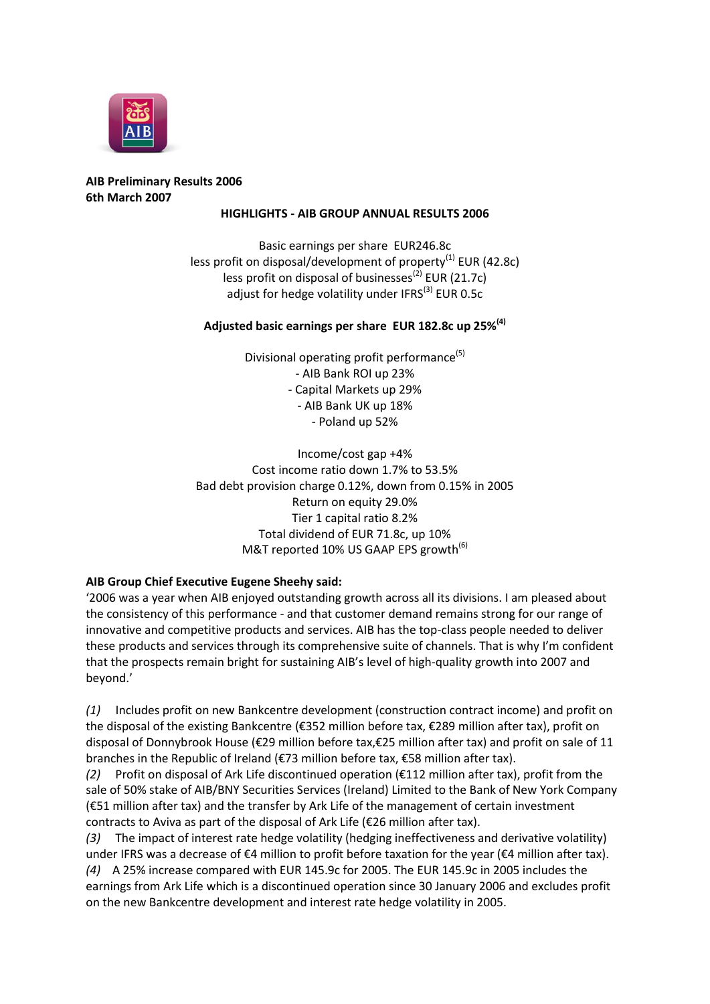

## **AIB Preliminary Results 2006 6th March 2007**

#### **HIGHLIGHTS - AIB GROUP ANNUAL RESULTS 2006**

Basic earnings per share EUR246.8c less profit on disposal/development of property $^{(1)}$  EUR (42.8c) less profit on disposal of businesses<sup>(2)</sup> EUR (21.7c) adjust for hedge volatility under IFRS $<sup>(3)</sup>$  EUR 0.5c</sup>

### **Adjusted basic earnings per share EUR 182.8c up 25%(4)**

Divisional operating profit performance<sup>(5)</sup> - AIB Bank ROI up 23% - Capital Markets up 29% - AIB Bank UK up 18% - Poland up 52%

Income/cost gap +4% Cost income ratio down 1.7% to 53.5% Bad debt provision charge 0.12%, down from 0.15% in 2005 Return on equity 29.0% Tier 1 capital ratio 8.2% Total dividend of EUR 71.8c, up 10% M&T reported 10% US GAAP EPS growth<sup>(6)</sup>

### **AIB Group Chief Executive Eugene Sheehy said:**

'2006 was a year when AIB enjoyed outstanding growth across all its divisions. I am pleased about the consistency of this performance - and that customer demand remains strong for our range of innovative and competitive products and services. AIB has the top-class people needed to deliver these products and services through its comprehensive suite of channels. That is why I'm confident that the prospects remain bright for sustaining AIB's level of high-quality growth into 2007 and beyond.'

*(1)* Includes profit on new Bankcentre development (construction contract income) and profit on the disposal of the existing Bankcentre (€352 million before tax, €289 million after tax), profit on disposal of Donnybrook House (€29 million before tax,€25 million after tax) and profit on sale of 11 branches in the Republic of Ireland (€73 million before tax, €58 million after tax).

*(2)* Profit on disposal of Ark Life discontinued operation (€112 million after tax), profit from the sale of 50% stake of AIB/BNY Securities Services (Ireland) Limited to the Bank of New York Company (€51 million after tax) and the transfer by Ark Life of the management of certain investment contracts to Aviva as part of the disposal of Ark Life (€26 million after tax).

*(3)* The impact of interest rate hedge volatility (hedging ineffectiveness and derivative volatility) under IFRS was a decrease of €4 million to profit before taxation for the year (€4 million after tax). *(4)* A 25% increase compared with EUR 145.9c for 2005. The EUR 145.9c in 2005 includes the earnings from Ark Life which is a discontinued operation since 30 January 2006 and excludes profit on the new Bankcentre development and interest rate hedge volatility in 2005.